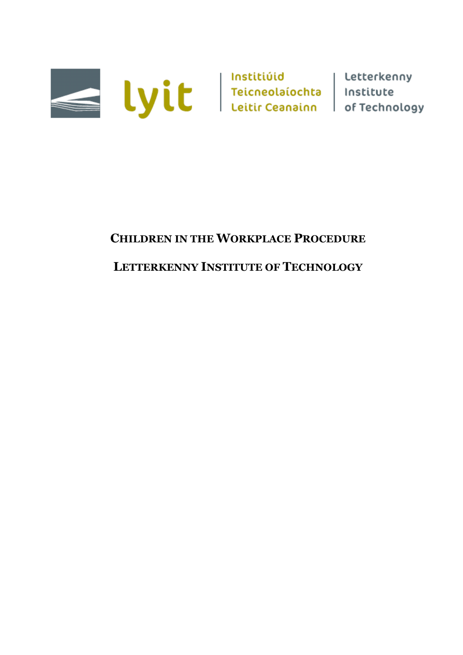

# **CHILDREN IN THE WORKPLACE PROCEDURE**

## **LETTERKENNY INSTITUTE OF TECHNOLOGY**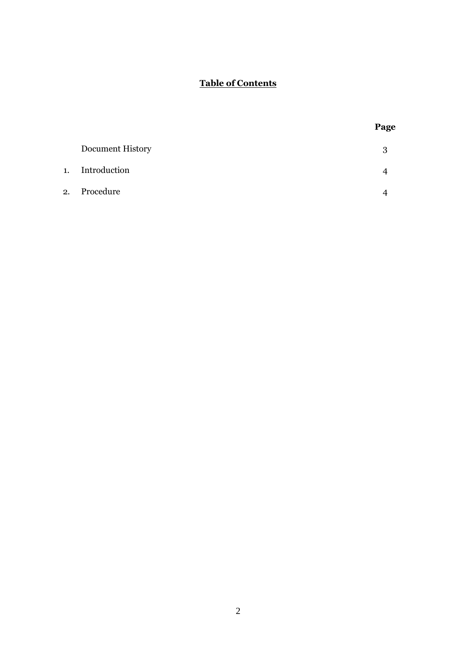### **Table of Contents**

**Page**

| Document History |  |
|------------------|--|
| 1. Introduction  |  |
| 2. Procedure     |  |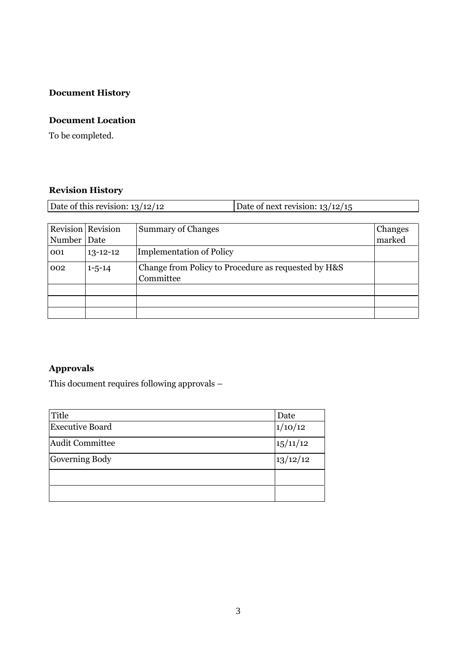## **Document History**

### **Document Location**

To be completed.

### **Revision History**

| Date of this revision: $13/12/12$ |                          |                    | Date of next revision: $13/12/15$ |                |
|-----------------------------------|--------------------------|--------------------|-----------------------------------|----------------|
|                                   |                          |                    |                                   |                |
|                                   | <b>Revision</b> Revision | Summary of Changes |                                   | <b>Changes</b> |

|             | <b>REVISION REVISION</b> | Summary of Changes                                               | Changes |
|-------------|--------------------------|------------------------------------------------------------------|---------|
| Number Date |                          |                                                                  | marked  |
| 001         | $13 - 12 - 12$           | Implementation of Policy                                         |         |
| 002         | $1 - 5 - 14$             | Change from Policy to Procedure as requested by H&S<br>Committee |         |
|             |                          |                                                                  |         |
|             |                          |                                                                  |         |
|             |                          |                                                                  |         |

### **Approvals**

This document requires following approvals –

| Title                  | Date     |
|------------------------|----------|
| <b>Executive Board</b> | 1/10/12  |
| Audit Committee        | 15/11/12 |
| Governing Body         | 13/12/12 |
|                        |          |
|                        |          |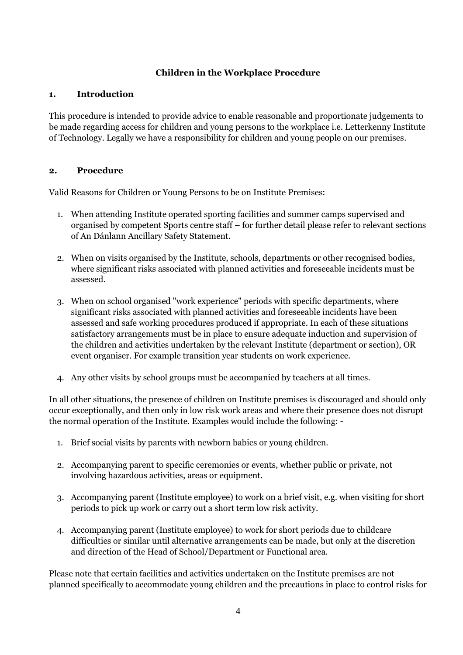#### **Children in the Workplace Procedure**

#### **1. Introduction**

This procedure is intended to provide advice to enable reasonable and proportionate judgements to be made regarding access for children and young persons to the workplace i.e. Letterkenny Institute of Technology. Legally we have a responsibility for children and young people on our premises.

#### **2. Procedure**

Valid Reasons for Children or Young Persons to be on Institute Premises:

- 1. When attending Institute operated sporting facilities and summer camps supervised and organised by competent Sports centre staff – for further detail please refer to relevant sections of An Dánlann Ancillary Safety Statement.
- 2. When on visits organised by the Institute, schools, departments or other recognised bodies, where significant risks associated with planned activities and foreseeable incidents must be assessed.
- 3. When on school organised "work experience" periods with specific departments, where significant risks associated with planned activities and foreseeable incidents have been assessed and safe working procedures produced if appropriate. In each of these situations satisfactory arrangements must be in place to ensure adequate induction and supervision of the children and activities undertaken by the relevant Institute (department or section), OR event organiser. For example transition year students on work experience.
- 4. Any other visits by school groups must be accompanied by teachers at all times.

In all other situations, the presence of children on Institute premises is discouraged and should only occur exceptionally, and then only in low risk work areas and where their presence does not disrupt the normal operation of the Institute. Examples would include the following: -

- 1. Brief social visits by parents with newborn babies or young children.
- 2. Accompanying parent to specific ceremonies or events, whether public or private, not involving hazardous activities, areas or equipment.
- 3. Accompanying parent (Institute employee) to work on a brief visit, e.g. when visiting for short periods to pick up work or carry out a short term low risk activity.
- 4. Accompanying parent (Institute employee) to work for short periods due to childcare difficulties or similar until alternative arrangements can be made, but only at the discretion and direction of the Head of School/Department or Functional area.

Please note that certain facilities and activities undertaken on the Institute premises are not planned specifically to accommodate young children and the precautions in place to control risks for